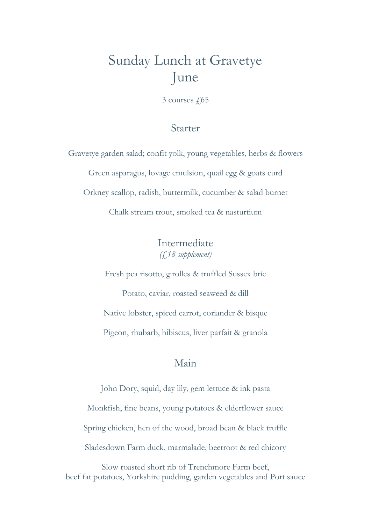# Sunday Lunch at Gravetye June

 $3$  courses  $\sqrt{65}$ 

### Starter

Gravetye garden salad; confit yolk, young vegetables, herbs & flowers Green asparagus, lovage emulsion, quail egg & goats curd Orkney scallop, radish, buttermilk, cucumber & salad burnet Chalk stream trout, smoked tea & nasturtium

### Intermediate (£18 supplement)

Fresh pea risotto, girolles & truffled Sussex brie

Potato, caviar, roasted seaweed & dill Native lobster, spiced carrot, coriander & bisque Pigeon, rhubarb, hibiscus, liver parfait & granola

### Main

John Dory, squid, day lily, gem lettuce & ink pasta Monkfish, fine beans, young potatoes & elderflower sauce Spring chicken, hen of the wood, broad bean & black truffle Sladesdown Farm duck, marmalade, beetroot & red chicory

Slow roasted short rib of Trenchmore Farm beef, beef fat potatoes, Yorkshire pudding, garden vegetables and Port sauce